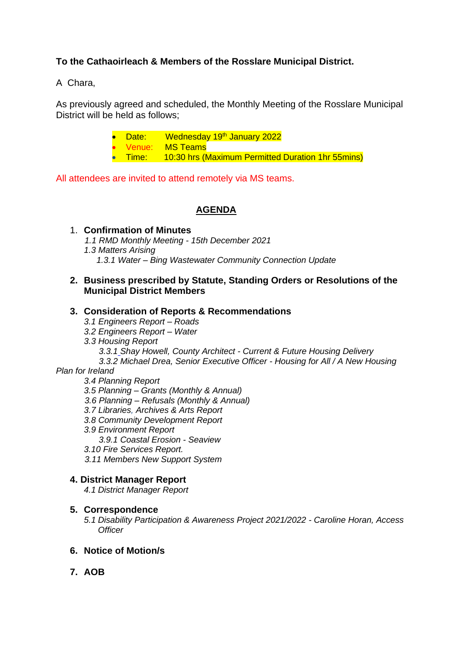# **To the Cathaoirleach & Members of the Rosslare Municipal District.**

A Chara,

As previously agreed and scheduled, the Monthly Meeting of the Rosslare Municipal District will be held as follows;

|  | • Date: Wednesday 19 <sup>th</sup> January 2022           |
|--|-----------------------------------------------------------|
|  | • Venue: MS-Teams                                         |
|  | • Time: 10:30 hrs (Maximum Permitted Duration 1hr 55mins) |

All attendees are invited to attend remotely via MS teams.

### **AGENDA**

1. **Confirmation of Minutes**  *1.1 RMD Monthly Meeting - 15th December 2021 1.3 Matters Arising 1.3.1 Water – Bing Wastewater Community Connection Update*

#### **2. Business prescribed by Statute, Standing Orders or Resolutions of the Municipal District Members**

#### **3. Consideration of Reports & Recommendations**

- *3.1 Engineers Report – Roads*
- *3.2 Engineers Report – Water*
- *3.3 Housing Report*
	- *3.3.1 Shay Howell, County Architect - Current & Future Housing Delivery*
	- *3.3.2 Michael Drea, Senior Executive Officer - Housing for All / A New Housing*

### *Plan for Ireland*

*3.4 Planning Report*

- *3.5 Planning – Grants (Monthly & Annual)*
- *3.6 Planning – Refusals (Monthly & Annual)*
- *3.7 Libraries, Archives & Arts Report*
- *3.8 Community Development Report*
- *3.9 Environment Report*
	- *3.9.1 Coastal Erosion - Seaview*
- *3.10 Fire Services Report.*
- *3.11 Members New Support System*

#### **4. District Manager Report**

*4.1 District Manager Report*

#### **5. Correspondence**

*5.1 Disability Participation & Awareness Project 2021/2022 - Caroline Horan, Access Officer*

## **6. Notice of Motion/s**

**7. AOB**